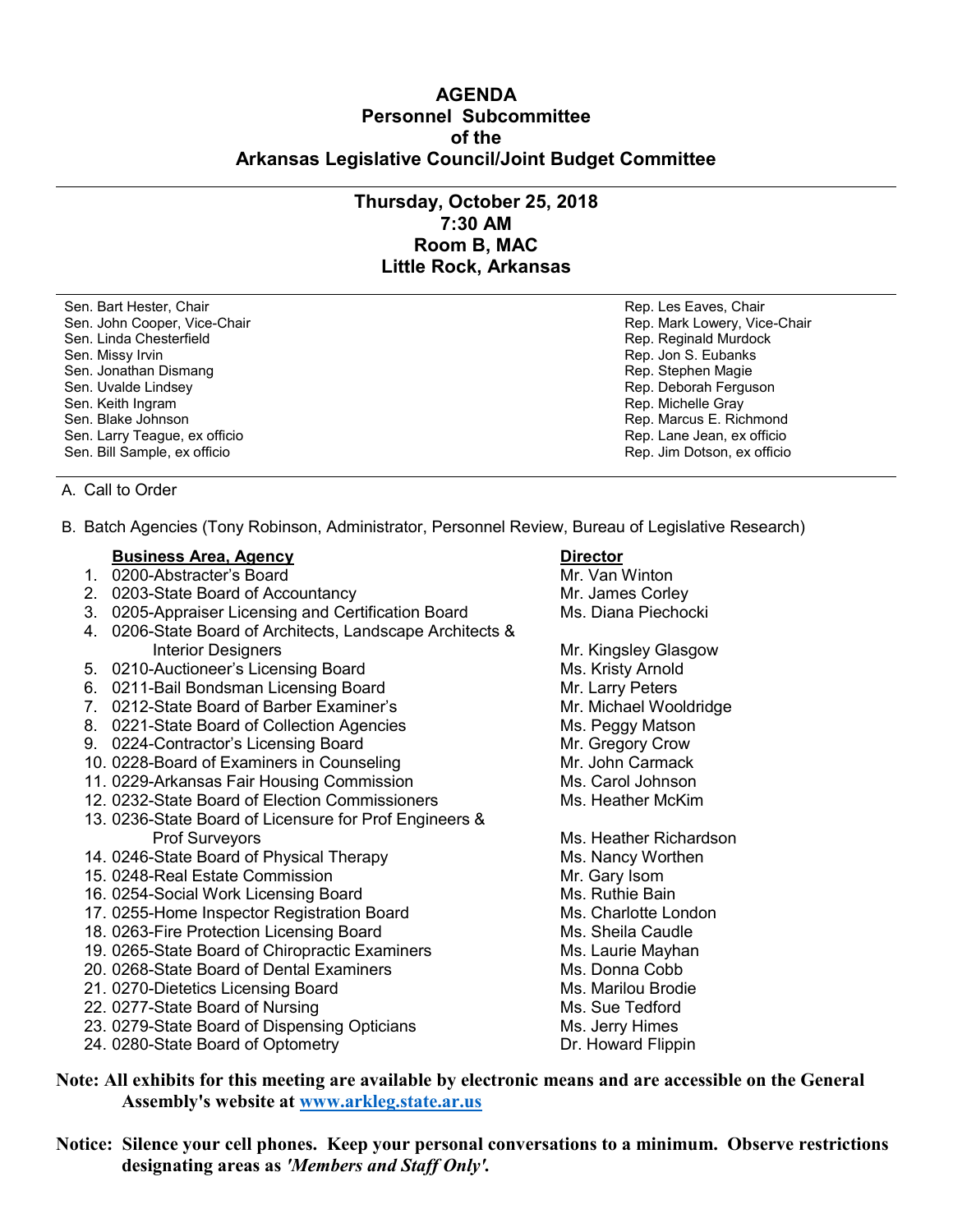## **AGENDA Personnel Subcommittee of the Arkansas Legislative Council/Joint Budget Committee**

# **Thursday, October 25, 2018 7:30 AM Room B, MAC Little Rock, Arkansas**

Sen. Bart Hester, Chair **Rep. Les Eaves, Chair** Rep. Les Eaves, Chair Rep. Les Eaves, Chair Sen. John Cooper, Vice-Chair North Cooper, Alice Chair Rep. Mark Lowery, Vice-Chair Sen. Linda Chesterfield **Rep. Reginald Murdock** Rep. Reginald Murdock Sen. Missy Irvin **Rep. 1998** Sen. Missy Irvin **Rep. 3. Eubanks** Sen. Jonathan Dismang Rep. Stephen Magie Rep. Stephen Magie Sen. Uvalde Lindsey **Rep. Deborah Ferguson** Rep. Deborah Ferguson Sen. Keith Ingram Rep. Michelle Gray Sen. Blake Johnson (1999) Sen. Blake Johnson (1999) Sen. Larry Teague, ex officio (1999) Sen. Larry Teague, ex officio Sen. Larry Teague, ex officio

Sen. Bill Sample, ex officio Rep. Jim Dotson, ex officio

### A. Call to Order

B. Batch Agencies (Tony Robinson, Administrator, Personnel Review, Bureau of Legislative Research)

### **Business Area, Agency <b>Director**

- 1. 0200-Abstracter's Board Mr. Van Winton
- 2. 0203-State Board of Accountancy Mr. James Corley
- 3. 0205-Appraiser Licensing and Certification Board Ms. Diana Piechocki
- 4. 0206-State Board of Architects, Landscape Architects & Interior Designers **Mr. Kingsley Glasgow**
- 5. 0210-Auctioneer's Licensing Board **Ms. Kristy Arnold**
- 6. 0211-Bail Bondsman Licensing Board Mr. Larry Peters
- 7. 0212-State Board of Barber Examiner's Mr. Michael Wooldridge
- 8. 0221-State Board of Collection Agencies Ms. Peggy Matson
- 9. 0224-Contractor's Licensing Board Mr. Gregory Crow
- 10. 0228-Board of Examiners in Counseling Mr. John Carmack
- 11. 0229-Arkansas Fair Housing Commission Ms. Carol Johnson
- 12. 0232-State Board of Election Commissioners Mackennich Ms. Heather McKim
- 13. 0236-State Board of Licensure for Prof Engineers & Prof Surveyors **Ms. Heather Richardson**
- 14. 0246-State Board of Physical Therapy Microsoft Ms. Nancy Worthen
- 15. 0248-Real Estate Commission Mr. Gary Isom
- 16. 0254-Social Work Licensing Board
- 17. 0255-Home Inspector Registration Board Ms. Charlotte London
- 18. 0263-Fire Protection Licensing Board Ms. Sheila Caudle
- 19. 0265-State Board of Chiropractic Examiners Ms. Laurie Mayhan
- 20. 0268-State Board of Dental Examiners Manuel Ms. Donna Cobb
- 21. 0270-Dietetics Licensing Board Ms. Marilou Brodie
- 22. 0277-State Board of Nursing Ms. Sue Tedford
- 23. 0279-State Board of Dispensing Opticians Ms. Jerry Himes<br>24. 0280-State Board of Optometry Museum Museum Dr. Howard Flippin
- 24. 0280-State Board of Optometry

- 
- 
- 
- 
- 
- 
- 
- 
- 
- 
- 

- 
- 
- 
- 
- 
- 
- 
- 
- 
- 
- 

**Note: All exhibits for this meeting are available by electronic means and are accessible on the General Assembly's website at [www.arkleg.state.ar.us](http://www.arkleg.state.ar.us)**

**Notice: Silence your cell phones. Keep your personal conversations to a minimum. Observe restrictions designating areas as** *'Members and Staff Only'.*